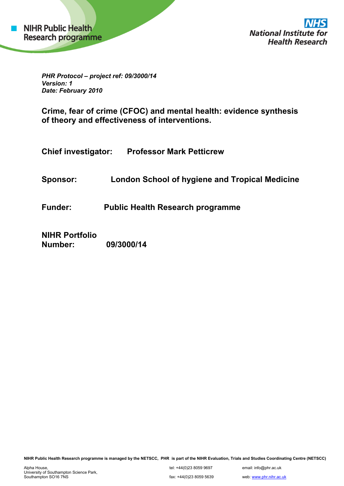*PHR Protocol – project ref: 09/3000/14 Version: 1 Date: February 2010* 

**Crime, fear of crime (CFOC) and mental health: evidence synthesis of theory and effectiveness of interventions.** 

**Chief investigator: Professor Mark Petticrew**

**Sponsor: London School of hygiene and Tropical Medicine** 

**Funder: Public Health Research programme** 

**NIHR Portfolio Number: 09/3000/14** 

**NIHR Public Health Research programme is managed by the NETSCC, PHR is part of the NIHR Evaluation, Trials and Studies Coordinating Centre (NETSCC)**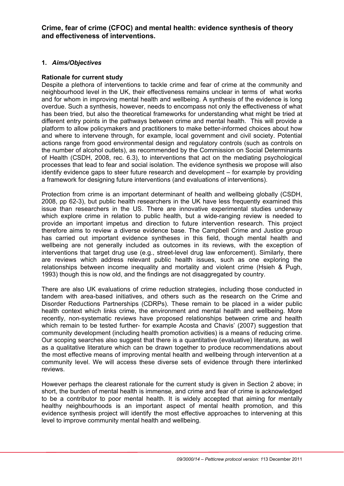**Crime, fear of crime (CFOC) and mental health: evidence synthesis of theory and effectiveness of interventions.** 

### **1.** *Aims/Objectives*

### **Rationale for current study**

Despite a plethora of interventions to tackle crime and fear of crime at the community and neighbourhood level in the UK, their effectiveness remains unclear in terms of what works and for whom in improving mental health and wellbeing. A synthesis of the evidence is long overdue. Such a synthesis, however, needs to encompass not only the effectiveness of what has been tried, but also the theoretical frameworks for understanding what might be tried at different entry points in the pathways between crime and mental health. This will provide a platform to allow policymakers and practitioners to make better-informed choices about how and where to intervene through, for example, local government and civil society. Potential actions range from good environmental design and regulatory controls (such as controls on the number of alcohol outlets), as recommended by the Commission on Social Determinants of Health (CSDH, 2008, rec. 6.3), to interventions that act on the mediating psychological processes that lead to fear and social isolation. The evidence synthesis we propose will also identify evidence gaps to steer future research and development – for example by providing a framework for designing future interventions (and evaluations of interventions).

Protection from crime is an important determinant of health and wellbeing globally (CSDH, 2008, pp 62-3), but public health researchers in the UK have less frequently examined this issue than researchers in the US. There are innovative experimental studies underway which explore crime in relation to public health, but a wide-ranging review is needed to provide an important impetus and direction to future intervention research. This project therefore aims to review a diverse evidence base. The Campbell Crime and Justice group has carried out important evidence syntheses in this field, though mental health and wellbeing are not generally included as outcomes in its reviews, with the exception of interventions that target drug use (e.g., street-level drug law enforcement). Similarly, there are reviews which address relevant public health issues, such as one exploring the relationships between income inequality and mortality and violent crime (Hsieh & Pugh, 1993) though this is now old, and the findings are not disaggregated by country.

There are also UK evaluations of crime reduction strategies, including those conducted in tandem with area-based initiatives, and others such as the research on the Crime and Disorder Reductions Partnerships (CDRPs). These remain to be placed in a wider public health context which links crime, the environment and mental health and wellbeing. More recently, non-systematic reviews have proposed relationships between crime and health which remain to be tested further- for example Acosta and Chavis' (2007) suggestion that community development (including health promotion activities) is a means of reducing crime. Our scoping searches also suggest that there is a quantitative (evaluative) literature, as well as a qualitative literature which can be drawn together to produce recommendations about the most effective means of improving mental health and wellbeing through intervention at a community level. We will access these diverse sets of evidence through there interlinked reviews.

However perhaps the clearest rationale for the current study is given in Section 2 above; in short, the burden of mental health is immense, and crime and fear of crime is acknowledged to be a contributor to poor mental health. It is widely accepted that aiming for mentally healthy neighbourhoods is an important aspect of mental health promotion, and this evidence synthesis project will identify the most effective approaches to intervening at this level to improve community mental health and wellbeing.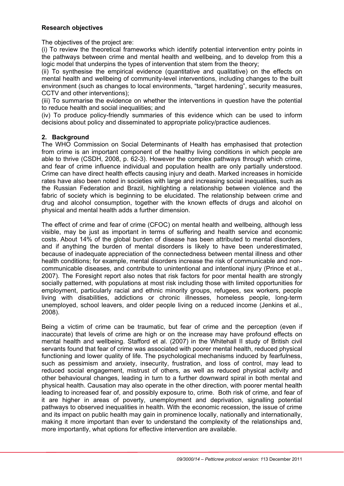# **Research objectives**

The objectives of the project are:

(i) To review the theoretical frameworks which identify potential intervention entry points in the pathways between crime and mental health and wellbeing, and to develop from this a logic model that underpins the types of intervention that stem from the theory;

(ii) To synthesise the empirical evidence (quantitative and qualitative) on the effects on mental health and wellbeing of community-level interventions, including changes to the built environment (such as changes to local environments, "target hardening", security measures, CCTV and other interventions);

(iii) To summarise the evidence on whether the interventions in question have the potential to reduce health and social inequalities; and

(iv) To produce policy-friendly summaries of this evidence which can be used to inform decisions about policy and disseminated to appropriate policy/practice audiences.

# **2. Background**

The WHO Commission on Social Determinants of Health has emphasised that protection from crime is an important component of the healthy living conditions in which people are able to thrive (CSDH, 2008, p. 62-3). However the complex pathways through which crime, and fear of crime influence individual and population health are only partially understood. Crime can have direct health effects causing injury and death. Marked increases in homicide rates have also been noted in societies with large and increasing social inequalities, such as the Russian Federation and Brazil, highlighting a relationship between violence and the fabric of society which is beginning to be elucidated. The relationship between crime and drug and alcohol consumption, together with the known effects of drugs and alcohol on physical and mental health adds a further dimension.

The effect of crime and fear of crime (CFOC) on mental health and wellbeing, although less visible, may be just as important in terms of suffering and health service and economic costs. About 14% of the global burden of disease has been attributed to mental disorders, and if anything the burden of mental disorders is likely to have been underestimated, because of inadequate appreciation of the connectedness between mental illness and other health conditions; for example, mental disorders increase the risk of communicable and noncommunicable diseases, and contribute to unintentional and intentional injury (Prince et al., 2007). The Foresight report also notes that risk factors for poor mental health are strongly socially patterned, with populations at most risk including those with limited opportunities for employment, particularly racial and ethnic minority groups, refugees, sex workers, people living with disabilities, addictions or chronic illnesses, homeless people, long-term unemployed, school leavers, and older people living on a reduced income (Jenkins et al., 2008).

Being a victim of crime can be traumatic, but fear of crime and the perception (even if inaccurate) that levels of crime are high or on the increase may have profound effects on mental health and wellbeing. Stafford et al. (2007) in the Whitehall II study of British civil servants found that fear of crime was associated with poorer mental health, reduced physical functioning and lower quality of life. The psychological mechanisms induced by fearfulness, such as pessimism and anxiety, insecurity, frustration, and loss of control, may lead to reduced social engagement, mistrust of others, as well as reduced physical activity and other behavioural changes, leading in turn to a further downward spiral in both mental and physical health. Causation may also operate in the other direction, with poorer mental health leading to increased fear of, and possibly exposure to, crime. Both risk of crime, and fear of it are higher in areas of poverty, unemployment and deprivation, signalling potential pathways to observed inequalities in health. With the economic recession, the issue of crime and its impact on public health may gain in prominence locally, nationally and internationally, making it more important than ever to understand the complexity of the relationships and, more importantly, what options for effective intervention are available.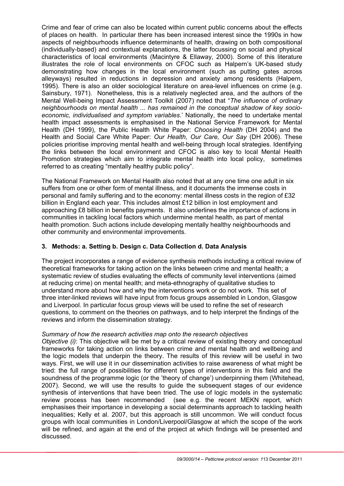Crime and fear of crime can also be located within current public concerns about the effects of places on health. In particular there has been increased interest since the 1990s in how aspects of neighbourhoods influence determinants of health, drawing on both compositional (individually-based) and contextual explanations, the latter focussing on social and physical characteristics of local environments (Macintyre & Ellaway, 2000). Some of this literature illustrates the role of local environments on CFOC such as Halpern's UK-based study demonstrating how changes in the local environment (such as putting gates across alleyways) resulted in reductions in depression and anxiety among residents (Halpern, 1995). There is also an older sociological literature on area-level influences on crime (e.g. Sainsbury, 1971). Nonetheless, this is a relatively neglected area, and the authors of the Mental Well-being Impact Assessment Toolkit (2007) noted that "*The influence of ordinary neighbourhoods on mental health ... has remained in the conceptual shadow of key socioeconomic, individualised and symptom variables*.' Nationally, the need to undertake mental health impact assessments is emphasised in the National Service Framework for Mental Health (DH 1999), the Public Health White Paper: *Choosing Health* (DH 2004) and the Health and Social Care White Paper: *Our Health, Our Care, Our Say* (DH 2006). These policies prioritise improving mental health and well-being through local strategies. Identifying the links between the local environment and CFOC is also key to local Mental Health Promotion strategies which aim to integrate mental health into local policy, sometimes referred to as creating "mentally healthy public policy".

The National Framework on Mental Health also noted that at any one time one adult in six suffers from one or other form of mental illness, and it documents the immense costs in personal and family suffering and to the economy: mental illness costs in the region of £32 billion in England each year. This includes almost £12 billion in lost employment and approaching £8 billion in benefits payments. It also underlines the importance of actions in communities in tackling local factors which undermine mental health, as part of mental health promotion. Such actions include developing mentally healthy neighbourhoods and other community and environmental improvements.

# **3. Methods: a. Setting b. Design c. Data Collection d. Data Analysis**

The project incorporates a range of evidence synthesis methods including a critical review of theoretical frameworks for taking action on the links between crime and mental health; a systematic review of studies evaluating the effects of community level interventions (aimed at reducing crime) on mental health; and meta-ethnography of qualitative studies to understand more about how and why the interventions work or do not work. This set of three inter-linked reviews will have input from focus groups assembled in London, Glasgow and Liverpool. In particular focus group views will be used to refine the set of research questions, to comment on the theories on pathways, and to help interpret the findings of the reviews and inform the dissemination strategy.

# *Summary of how the research activities map onto the research objectives*

*Objective (i)*: This objective will be met by a critical review of existing theory and conceptual frameworks for taking action on links between crime and mental health and wellbeing and the logic models that underpin the theory. The results of this review will be useful in two ways. First, we will use it in our dissemination activities to raise awareness of what might be tried: the full range of possibilities for different types of interventions in this field and the soundness of the programme logic (or the 'theory of change') underpinning them (Whitehead, 2007). Second, we will use the results to guide the subsequent stages of our evidence synthesis of interventions that have been tried. The use of logic models in the systematic review process has been recommended (see e.g. the recent MEKN report, which emphasises their importance in developing a social determinants approach to tackling health inequalities; Kelly et al. 2007, but this approach is still uncommon. We will conduct focus groups with local communities in London/Liverpool/Glasgow at which the scope of the work will be refined, and again at the end of the project at which findings will be presented and discussed.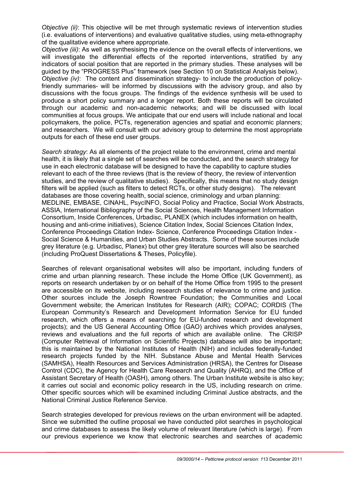*Objective (ii)*: This objective will be met through systematic reviews of intervention studies (i.e. evaluations of interventions) and evaluative qualitative studies, using meta-ethnography of the qualitative evidence where appropriate.

*Objective (iii)*: As well as synthesising the evidence on the overall effects of interventions, we will investigate the differential effects of the reported interventions, stratified by any indicators of social position that are reported in the primary studies. These analyses will be guided by the "PROGRESS Plus" framework (see Section 10 on Statistical Analysis below).

*Objective (iv)*: The content and dissemination strategy- to include the production of policyfriendly summaries- will be informed by discussions with the advisory group, and also by discussions with the focus groups. The findings of the evidence synthesis will be used to produce a short policy summary and a longer report. Both these reports will be circulated through our academic and non-academic networks; and will be discussed with local communities at focus groups. We anticipate that our end users will include national and local policymakers, the police, PCTs, regeneration agencies and spatial and economic planners; and researchers. We will consult with our advisory group to determine the most appropriate outputs for each of these end user groups.

*Search strategy*: As all elements of the project relate to the environment, crime and mental health, it is likely that a single set of searches will be conducted, and the search strategy for use in each electronic database will be designed to have the capability to capture studies relevant to each of the three reviews (that is the review of theory, the review of intervention studies, and the review of qualitative studies). Specifically, this means that no study design filters will be applied (such as filters to detect RCTs, or other study designs). The relevant databases are those covering health, social science, criminology and urban planning: MEDLINE, EMBASE, CINAHL, PsycINFO, Social Policy and Practice, Social Work Abstracts, ASSIA, International Bibliography of the Social Sciences, Health Management Information Consortium, Inside Conferences, Urbadisc, PLANEX (which includes information on health, housing and anti-crime initiatives), Science Citation Index, Social Sciences Citation Index, Conference Proceedings Citation Index- Science, Conference Proceedings Citation Index - Social Science & Humanities, and Urban Studies Abstracts. Some of these sources include grey literature (e.g. Urbadisc, Planex) but other grey literature sources will also be searched (including ProQuest Dissertations & Theses, Policyfile).

Searches of relevant organisational websites will also be important, including funders of crime and urban planning research. These include the Home Office (UK Government), as reports on research undertaken by or on behalf of the Home Office from 1995 to the present are accessible on its website, including research studies of relevance to crime and justice. Other sources include the Joseph Rowntree Foundation; the Communities and Local Government website; the American Institutes for Research (AIR); COPAC; CORDIS (The European Community's Research and Development Information Service for EU funded research, which offers a means of searching for EU-funded research and development projects); and the US General Accounting Office (GAO) archives which provides analyses, reviews and evaluations and the full reports of which are available online. The CRISP (Computer Retrieval of Information on Scientific Projects) database will also be important; this is maintained by the National Institutes of Health (NIH) and includes federally-funded research projects funded by the NIH. Substance Abuse and Mental Health Services (SAMHSA), Health Resources and Services Administration (HRSA), the Centres for Disease Control (CDC), the Agency for Health Care Research and Quality (AHRQ), and the Office of Assistant Secretary of Health (OASH), among others. The Urban Institute website is also key; it carries out social and economic policy research in the US, including research on crime. Other specific sources which will be examined including Criminal Justice abstracts, and the National Criminal Justice Reference Service.

Search strategies developed for previous reviews on the urban environment will be adapted. Since we submitted the outline proposal we have conducted pilot searches in psychological and crime databases to assess the likely volume of relevant literature (which is large). From our previous experience we know that electronic searches and searches of academic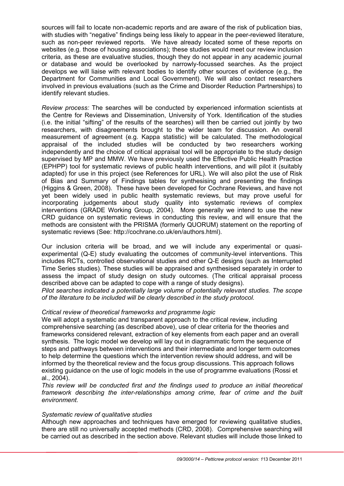sources will fail to locate non-academic reports and are aware of the risk of publication bias, with studies with "negative" findings being less likely to appear in the peer-reviewed literature, such as non-peer reviewed reports. We have already located some of these reports on websites (e.g. those of housing associations); these studies would meet our review inclusion criteria, as these are evaluative studies, though they do not appear in any academic journal or database and would be overlooked by narrowly-focussed searches. As the project develops we will liaise with relevant bodies to identify other sources of evidence (e.g., the Department for Communities and Local Government). We will also contact researchers involved in previous evaluations (such as the Crime and Disorder Reduction Partnerships) to identify relevant studies.

*Review process:* The searches will be conducted by experienced information scientists at the Centre for Reviews and Dissemination, University of York. Identification of the studies (i.e. the initial "sifting" of the results of the searches) will then be carried out jointly by two researchers, with disagreements brought to the wider team for discussion. An overall measurement of agreement (e.g. Kappa statistic) will be calculated. The methodological appraisal of the included studies will be conducted by two researchers working independently and the choice of critical appraisal tool will be appropriate to the study design supervised by MP and MMW. We have previously used the Effective Public Health Practice (EPHPP) tool for systematic reviews of public health interventions, and will pilot it (suitably adapted) for use in this project (see References for URL). We will also pilot the use of Risk of Bias and Summary of Findings tables for synthesising and presenting the findings (Higgins & Green, 2008). These have been developed for Cochrane Reviews, and have not yet been widely used in public health systematic reviews, but may prove useful for incorporating judgements about study quality into systematic reviews of complex interventions (GRADE Working Group, 2004). More generally we intend to use the new CRD guidance on systematic reviews in conducting this review, and will ensure that the methods are consistent with the PRISMA (formerly QUORUM) statement on the reporting of systematic reviews (See: http://cochrane.co.uk/en/authors.html).

Our inclusion criteria will be broad, and we will include any experimental or quasiexperimental (Q-E) study evaluating the outcomes of community-level interventions. This includes RCTs, controlled observational studies and other Q-E designs (such as Interrupted Time Series studies). These studies will be appraised and synthesised separately in order to assess the impact of study design on study outcomes. (The critical appraisal process described above can be adapted to cope with a range of study designs).

*Pilot searches indicated a potentially large volume of potentially relevant studies. The scope of the literature to be included will be clearly described in the study protocol.* 

#### *Critical review of theoretical frameworks and programme logic*

We will adopt a systematic and transparent approach to the critical review, including comprehensive searching (as described above), use of clear criteria for the theories and frameworks considered relevant, extraction of key elements from each paper and an overall synthesis. The logic model we develop will lay out in diagrammatic form the sequence of steps and pathways between interventions and their intermediate and longer term outcomes to help determine the questions which the intervention review should address, and will be informed by the theoretical review and the focus group discussions. This approach follows existing guidance on the use of logic models in the use of programme evaluations (Rossi et al., 2004).

*This review will be conducted first and the findings used to produce an initial theoretical framework describing the inter-relationships among crime, fear of crime and the built environment.* 

# *Systematic review of qualitative studies*

Although new approaches and techniques have emerged for reviewing qualitative studies, there are still no universally accepted methods (CRD, 2008). Comprehensive searching will be carried out as described in the section above. Relevant studies will include those linked to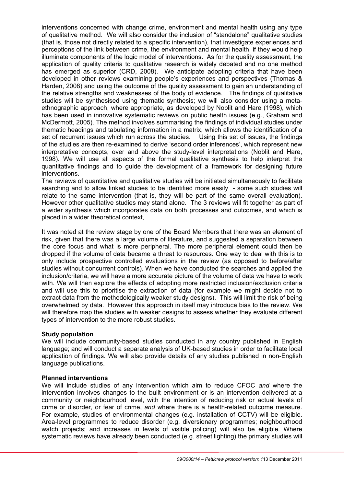interventions concerned with change crime, environment and mental health using any type of qualitative method. We will also consider the inclusion of "standalone" qualitative studies (that is, those not directly related to a specific intervention), that investigate experiences and perceptions of the link between crime, the environment and mental health, if they would help illuminate components of the logic model of interventions. As for the quality assessment, the application of quality criteria to qualitative research is widely debated and no one method has emerged as superior (CRD, 2008). We anticipate adopting criteria that have been developed in other reviews examining people's experiences and perspectives (Thomas & Harden, 2008) and using the outcome of the quality assessment to gain an understanding of the relative strengths and weaknesses of the body of evidence. The findings of qualitative studies will be synthesised using thematic synthesis; we will also consider using a metaethnographic approach, where appropriate, as developed by Noblit and Hare (1998), which has been used in innovative systematic reviews on public health issues (e.g., Graham and McDermott, 2005). The method involves summarising the findings of individual studies under thematic headings and tabulating information in a matrix, which allows the identification of a set of recurrent issues which run across the studies. Using this set of issues, the findings of the studies are then re-examined to derive 'second order inferences', which represent new interpretative concepts, over and above the study-level interpretations (Noblit and Hare, 1998). We will use all aspects of the formal qualitative synthesis to help interpret the quantitative findings and to guide the development of a framework for designing future interventions.

The reviews of quantitative and qualitative studies will be initiated simultaneously to facilitate searching and to allow linked studies to be identified more easily - some such studies will relate to the same intervention (that is, they will be part of the same overall evaluation). However other qualitative studies may stand alone. The 3 reviews will fit together as part of a wider synthesis which incorporates data on both processes and outcomes, and which is placed in a wider theoretical context,

It was noted at the review stage by one of the Board Members that there was an element of risk, given that there was a large volume of literature, and suggested a separation between the core focus and what is more peripheral. The more peripheral element could then be dropped if the volume of data became a threat to resources. One way to deal with this is to only include prospective controlled evaluations in the review (as opposed to before/after studies without concurrent controls). When we have conducted the searches and applied the inclusion/criteria, we will have a more accurate picture of the volume of data we have to work with. We will then explore the effects of adopting more restricted inclusion/exclusion criteria and will use this to prioritise the extraction of data (for example we might decide not to extract data from the methodologically weaker study designs). This will limit the risk of being overwhelmed by data. However this approach in itself may introduce bias to the review. We will therefore map the studies with weaker designs to assess whether they evaluate different types of intervention to the more robust studies.

#### **Study population**

We will include community-based studies conducted in any country published in English language; and will conduct a separate analysis of UK-based studies in order to facilitate local application of findings. We will also provide details of any studies published in non-English language publications.

#### **Planned interventions**

We will include studies of any intervention which aim to reduce CFOC *and* where the intervention involves changes to the built environment or is an intervention delivered at a community or neighbourhood level, with the intention of reducing risk or actual levels of crime or disorder, or fear of crime, *and* where there is a health-related outcome measure. For example, studies of environmental changes (e.g. installation of CCTV) will be eligible. Area-level programmes to reduce disorder (e.g. diversionary programmes; neighbourhood watch projects; and increases in levels of visible policing) will also be eligible. Where systematic reviews have already been conducted (e.g. street lighting) the primary studies will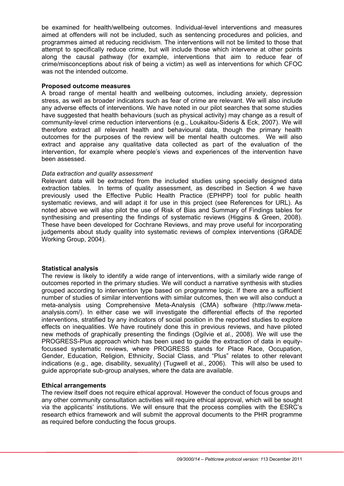be examined for health/wellbeing outcomes. Individual-level interventions and measures aimed at offenders will not be included, such as sentencing procedures and policies, and programmes aimed at reducing recidivism. The interventions will not be limited to those that attempt to specifically reduce crime, but will include those which intervene at other points along the causal pathway (for example, interventions that aim to reduce fear of crime/misconceptions about risk of being a victim) as well as interventions for which CFOC was not the intended outcome.

### **Proposed outcome measures**

A broad range of mental health and wellbeing outcomes, including anxiety, depression stress, as well as broader indicators such as fear of crime are relevant. We will also include any adverse effects of interventions. We have noted in our pilot searches that some studies have suggested that health behaviours (such as physical activity) may change as a result of community-level crime reduction interventions (e.g., Loukaitou-Sideris & Eck, 2007). We will therefore extract all relevant health and behavioural data, though the primary health outcomes for the purposes of the review will be mental health outcomes. We will also extract and appraise any qualitative data collected as part of the evaluation of the intervention, for example where people's views and experiences of the intervention have been assessed.

# *Data extraction and quality assessment*

Relevant data will be extracted from the included studies using specially designed data extraction tables. In terms of quality assessment, as described in Section 4 we have previously used the Effective Public Health Practice (EPHPP) tool for public health systematic reviews, and will adapt it for use in this project (see References for URL). As noted above we will also pilot the use of Risk of Bias and Summary of Findings tables for synthesising and presenting the findings of systematic reviews (Higgins & Green, 2008). These have been developed for Cochrane Reviews, and may prove useful for incorporating judgements about study quality into systematic reviews of complex interventions (GRADE Working Group, 2004).

# **Statistical analysis**

The review is likely to identify a wide range of interventions, with a similarly wide range of outcomes reported in the primary studies. We will conduct a narrative synthesis with studies grouped according to intervention type based on programme logic. If there are a sufficient number of studies of similar interventions with similar outcomes, then we will also conduct a meta-analysis using Comprehensive Meta-Analysis (CMA) software (http://www.metaanalysis.com/). In either case we will investigate the differential effects of the reported interventions, stratified by any indicators of social position in the reported studies to explore effects on inequalities. We have routinely done this in previous reviews, and have piloted new methods of graphically presenting the findings (Ogilvie et al., 2008). We will use the PROGRESS-Plus approach which has been used to guide the extraction of data in equityfocussed systematic reviews, where PROGRESS stands for Place Race, Occupation, Gender, Education, Religion, Ethnicity, Social Class, and "Plus" relates to other relevant indications (e.g., age, disability, sexuality) (Tugwell et al., 2006). This will also be used to guide appropriate sub-group analyses, where the data are available.

# **Ethical arrangements**

The review itself does not require ethical approval. However the conduct of focus groups and any other community consultation activities will require ethical approval, which will be sought via the applicants' institutions. We will ensure that the process complies with the ESRC's research ethics framework and will submit the approval documents to the PHR programme as required before conducting the focus groups.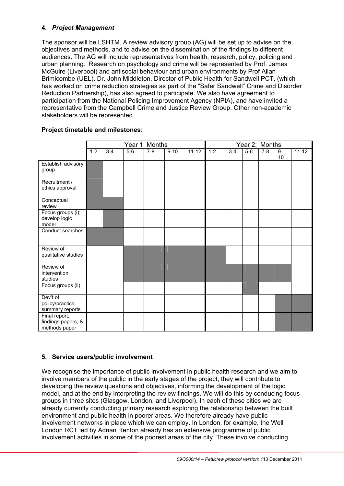# **4.** *Project Management*

The sponsor will be LSHTM. A review advisory group (AG) will be set up to advise on the objectives and methods, and to advise on the dissemination of the findings to different audiences. The AG will include representatives from health, research, policy, policing and urban planning. Research on psychology and crime will be represented by Prof. James McGuire (Liverpool) and antisocial behaviour and urban environments by Prof Allan Brimicombe (UEL). Dr. John Middleton, Director of Public Health for Sandwell PCT, (which has worked on crime reduction strategies as part of the "Safer Sandwell" Crime and Disorder Reduction Partnership), has also agreed to participate. We also have agreement to participation from the National Policing Improvement Agency (NPIA), and have invited a representative from the Campbell Crime and Justice Review Group. Other non-academic stakeholders will be represented.

|                                                      | Year 1: Months |         |       |         |          |           | Year 2: Months |         |       |         |            |           |
|------------------------------------------------------|----------------|---------|-------|---------|----------|-----------|----------------|---------|-------|---------|------------|-----------|
|                                                      | $1 - 2$        | $3 - 4$ | $5-6$ | $7 - 8$ | $9 - 10$ | $11 - 12$ | $1 - 2$        | $3 - 4$ | $5-6$ | $7 - 8$ | $9-$<br>10 | $11 - 12$ |
| Establish advisory<br>group                          |                |         |       |         |          |           |                |         |       |         |            |           |
| Recruitment /<br>ethics approval                     |                |         |       |         |          |           |                |         |       |         |            |           |
| Conceptual<br>review                                 |                |         |       |         |          |           |                |         |       |         |            |           |
| Focus groups (i);<br>develop logic<br>model          |                |         |       |         |          |           |                |         |       |         |            |           |
| Conduct searches                                     |                |         |       |         |          |           |                |         |       |         |            |           |
| Review of<br>qualitative studies                     |                |         |       |         |          |           |                |         |       |         |            |           |
| Review of<br>intervention<br>studies                 |                |         |       |         |          |           |                |         |       |         |            |           |
| Focus groups (ii)                                    |                |         |       |         |          |           |                |         |       |         |            |           |
| Dev't of<br>policy/practice<br>summary reports       |                |         |       |         |          |           |                |         |       |         |            |           |
| Final report,<br>findings papers, &<br>methods paper |                |         |       |         |          |           |                |         |       |         |            |           |

# **Project timetable and milestones:**

# **5. Service users/public involvement**

We recognise the importance of public involvement in public health research and we aim to involve members of the public in the early stages of the project; they will contribute to developing the review questions and objectives, informing the development of the logic model, and at the end by interpreting the review findings. We will do this by conducing focus groups in three sites (Glasgow, London, and Liverpool). In each of these cities we are already currently conducting primary research exploring the relationship between the built environment and public health in poorer areas. We therefore already have public involvement networks in place which we can employ. In London, for example, the Well London RCT led by Adrian Renton already has an extensive programme of public involvement activities in some of the poorest areas of the city. These involve conducting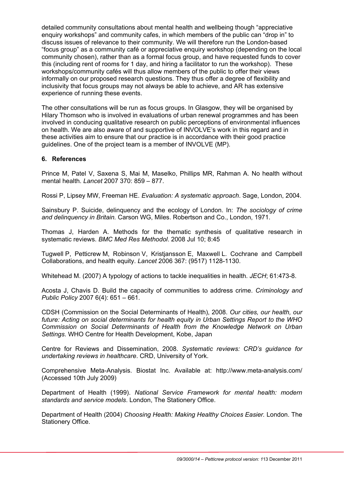detailed community consultations about mental health and wellbeing though "appreciative enquiry workshops" and community cafes, in which members of the public can "drop in" to discuss issues of relevance to their community. We will therefore run the London-based "focus group" as a community café or appreciative enquiry workshop (depending on the local community chosen), rather than as a formal focus group, and have requested funds to cover this (including rent of rooms for 1 day, and hiring a facilitator to run the workshop). These workshops/community cafés will thus allow members of the public to offer their views informally on our proposed research questions. They thus offer a degree of flexibility and inclusivity that focus groups may not always be able to achieve, and AR has extensive experience of running these events.

The other consultations will be run as focus groups. In Glasgow, they will be organised by Hilary Thomson who is involved in evaluations of urban renewal programmes and has been involved in conducing qualitative research on public perceptions of environmental influences on health. We are also aware of and supportive of INVOLVE's work in this regard and in these activities aim to ensure that our practice is in accordance with their good practice guidelines. One of the project team is a member of INVOLVE (MP).

# **6. References**

Prince M, Patel V, Saxena S, Mai M, Maselko, Phillips MR, Rahman A. No health without mental health. *Lancet* 2007 370: 859 – 877.

Rossi P, Lipsey MW, Freeman HE. *Evaluation: A systematic approach*. Sage, London, 2004.

Sainsbury P. Suicide, delinquency and the ecology of London. In: *The sociology of crime and delinquency in Britain.* Carson WG, Miles. Robertson and Co., London, 1971.

Thomas J, Harden A. Methods for the thematic synthesis of qualitative research in systematic reviews. *BMC Med Res Methodol*. 2008 Jul 10; 8:45

Tugwell P, Petticrew M, Robinson V, Kristjansson E, Maxwell L. Cochrane and Campbell Collaborations, and health equity. *Lancet* 2006 367: (9517) 1128-1130.

Whitehead M. (2007) A typology of actions to tackle inequalities in health. *JECH*; 61:473-8.

Acosta J, Chavis D. Build the capacity of communities to address crime. *Criminology and Public Policy* 2007 6(4): 651 – 661.

CDSH (Commission on the Social Determinants of Health), 2008. *Our cities, our health, our future: Acting on social determinants for health equity in Urban Settings Report to the WHO Commission on Social Determinants of Health from the Knowledge Network on Urban Settings*. WHO Centre for Health Development, Kobe, Japan

Centre for Reviews and Dissemination, 2008. *Systematic reviews: CRD's guidance for undertaking reviews in healthcare*. CRD, University of York.

Comprehensive Meta-Analysis. Biostat Inc. Available at: http://www.meta-analysis.com/ (Accessed 10th July 2009)

Department of Health (1999). *National Service Framework for mental health: modern standards and service models*. London, The Stationery Office.

Department of Health (2004) *Choosing Health: Making Healthy Choices Easier.* London. The Stationery Office.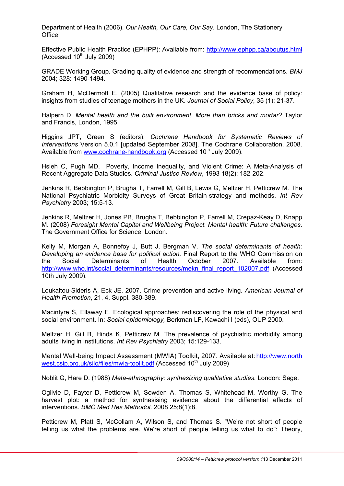Department of Health (2006). *Our Health, Our Care, Our Say*. London, The Stationery Office.

Effective Public Health Practice (EPHPP): Available from: http://www.ephpp.ca/aboutus.html  $(Accessed 10<sup>th</sup>$  July 2009)

GRADE Working Group. Grading quality of evidence and strength of recommendations. *BMJ* 2004; 328: 1490-1494.

Graham H, McDermott E. (2005) Qualitative research and the evidence base of policy: insights from studies of teenage mothers in the UK. *Journal of Social Policy*, 35 (1): 21-37.

Halpern D. *Mental health and the built environment. More than bricks and mortar?* Taylor and Francis, London, 1995.

Higgins JPT, Green S (editors). *Cochrane Handbook for Systematic Reviews of Interventions* Version 5.0.1 [updated September 2008]. The Cochrane Collaboration, 2008. Available from www.cochrane-handbook.org (Accessed 10<sup>th</sup> July 2009).

Hsieh C, Pugh MD. Poverty, Income Inequality, and Violent Crime: A Meta-Analysis of Recent Aggregate Data Studies. *Criminal Justice Review*, 1993 18(2): 182-202.

Jenkins R, Bebbington P, Brugha T, Farrell M, Gill B, Lewis G, Meltzer H, Petticrew M. The National Psychiatric Morbidity Surveys of Great Britain-strategy and methods. *Int Rev Psychiatry* 2003; 15:5-13.

Jenkins R, Meltzer H, Jones PB, Brugha T, Bebbington P, Farrell M, Crepaz-Keay D, Knapp M. (2008) *Foresight Mental Capital and Wellbeing Project. Mental health: Future challenges*. The Government Office for Science, London.

Kelly M, Morgan A, Bonnefoy J, Butt J, Bergman V. *The social determinants of health: Developing an evidence base for political action.* Final Report to the WHO Commission on the Social Determinants of Health October 2007. Available from: http://www.who.int/social\_determinants/resources/mekn\_final\_report\_102007.pdf (Accessed 10th July 2009).

Loukaitou-Sideris A, Eck JE. 2007. Crime prevention and active living. *American Journal of Health Promotion*, 21, 4, Suppl. 380-389.

Macintyre S, Ellaway E. Ecological approaches: rediscovering the role of the physical and social environment. In: *Social epidemiology,* Berkman LF, Kawachi I (eds), OUP 2000.

Meltzer H, Gill B, Hinds K, Petticrew M. The prevalence of psychiatric morbidity among adults living in institutions. *Int Rev Psychiatry* 2003; 15:129-133.

Mental Well-being Impact Assessment (MWIA) Toolkit, 2007. Available at: http://www.north west.csip.org.uk/silo/files/mwia-toolit.pdf (Accessed 10<sup>th</sup> July 2009)

Noblit G, Hare D. (1988) *Meta-ethnography: synthesizing qualitative studies.* London: Sage.

Ogilvie D, Fayter D, Petticrew M, Sowden A, Thomas S, Whitehead M, Worthy G. The harvest plot: a method for synthesising evidence about the differential effects of interventions. *BMC Med Res Methodol*. 2008 25;8(1):8.

Petticrew M, Platt S, McCollam A, Wilson S, and Thomas S. "We're not short of people telling us what the problems are. We're short of people telling us what to do": Theory,